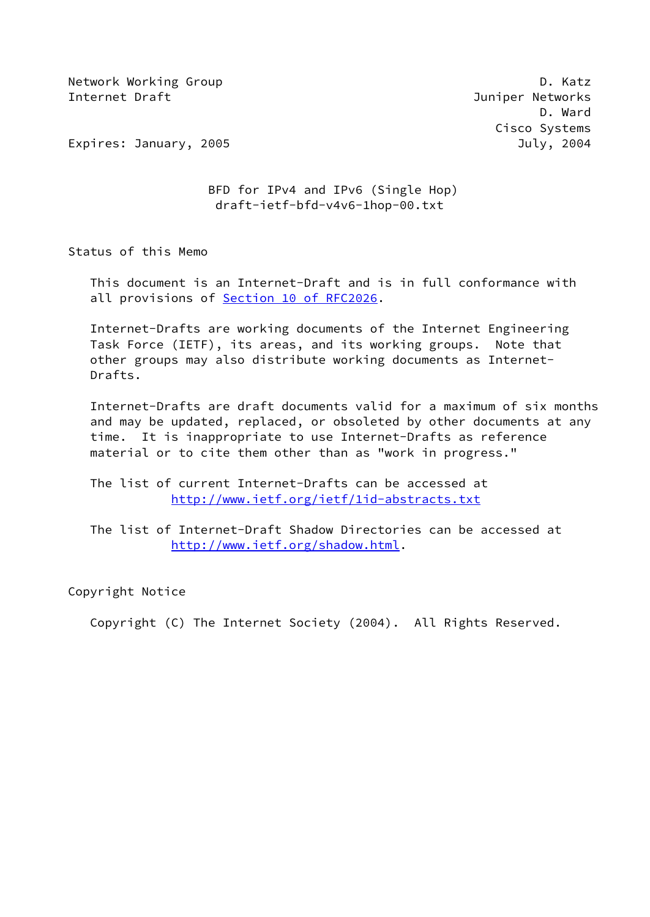Network Working Group **D. Ratz** Internet Draft Juniper Networks

 D. Ward Cisco Systems

Expires: January, 2005 July, 2004

# BFD for IPv4 and IPv6 (Single Hop) draft-ietf-bfd-v4v6-1hop-00.txt

Status of this Memo

 This document is an Internet-Draft and is in full conformance with all provisions of Section [10 of RFC2026.](https://datatracker.ietf.org/doc/pdf/rfc2026#section-10)

 Internet-Drafts are working documents of the Internet Engineering Task Force (IETF), its areas, and its working groups. Note that other groups may also distribute working documents as Internet- Drafts.

 Internet-Drafts are draft documents valid for a maximum of six months and may be updated, replaced, or obsoleted by other documents at any time. It is inappropriate to use Internet-Drafts as reference material or to cite them other than as "work in progress."

 The list of current Internet-Drafts can be accessed at <http://www.ietf.org/ietf/1id-abstracts.txt>

 The list of Internet-Draft Shadow Directories can be accessed at <http://www.ietf.org/shadow.html>.

Copyright Notice

Copyright (C) The Internet Society (2004). All Rights Reserved.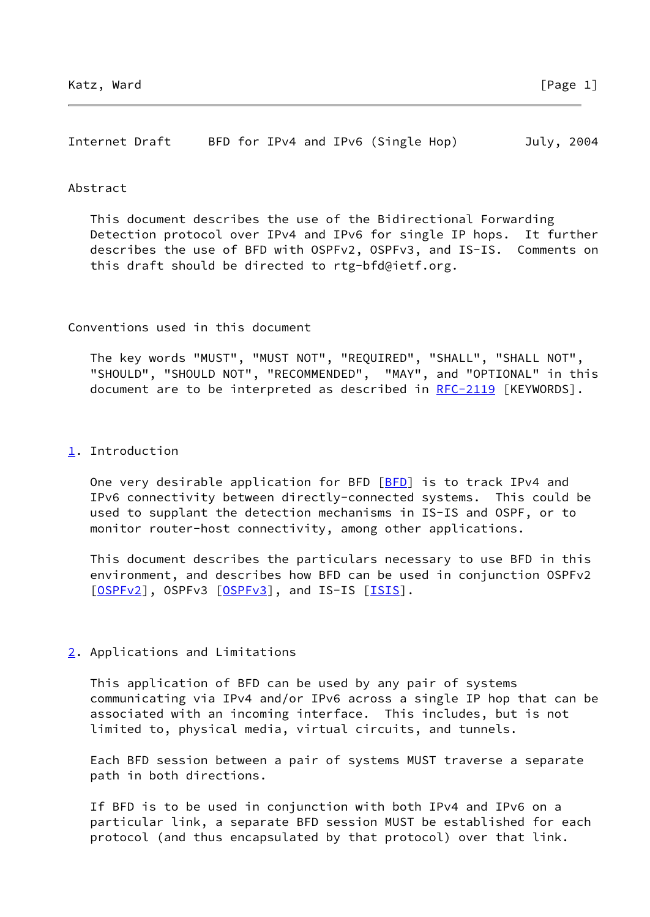Internet Draft BFD for IPv4 and IPv6 (Single Hop) July, 2004

#### Abstract

 This document describes the use of the Bidirectional Forwarding Detection protocol over IPv4 and IPv6 for single IP hops. It further describes the use of BFD with OSPFv2, OSPFv3, and IS-IS. Comments on this draft should be directed to rtg-bfd@ietf.org.

Conventions used in this document

 The key words "MUST", "MUST NOT", "REQUIRED", "SHALL", "SHALL NOT", "SHOULD", "SHOULD NOT", "RECOMMENDED", "MAY", and "OPTIONAL" in this document are to be interpreted as described in [RFC-2119](https://datatracker.ietf.org/doc/pdf/rfc2119) [KEYWORDS].

#### <span id="page-1-0"></span>[1](#page-1-0). Introduction

One very desirable application for BFD [\[BFD](#page-7-0)] is to track IPv4 and IPv6 connectivity between directly-connected systems. This could be used to supplant the detection mechanisms in IS-IS and OSPF, or to monitor router-host connectivity, among other applications.

 This document describes the particulars necessary to use BFD in this environment, and describes how BFD can be used in conjunction OSPFv2 [\[OSPFv2](#page-7-1)], OSPFv3 [\[OSPFv3](#page-7-2)], and IS-IS [\[ISIS](#page-7-3)].

# <span id="page-1-1"></span>[2](#page-1-1). Applications and Limitations

 This application of BFD can be used by any pair of systems communicating via IPv4 and/or IPv6 across a single IP hop that can be associated with an incoming interface. This includes, but is not limited to, physical media, virtual circuits, and tunnels.

 Each BFD session between a pair of systems MUST traverse a separate path in both directions.

 If BFD is to be used in conjunction with both IPv4 and IPv6 on a particular link, a separate BFD session MUST be established for each protocol (and thus encapsulated by that protocol) over that link.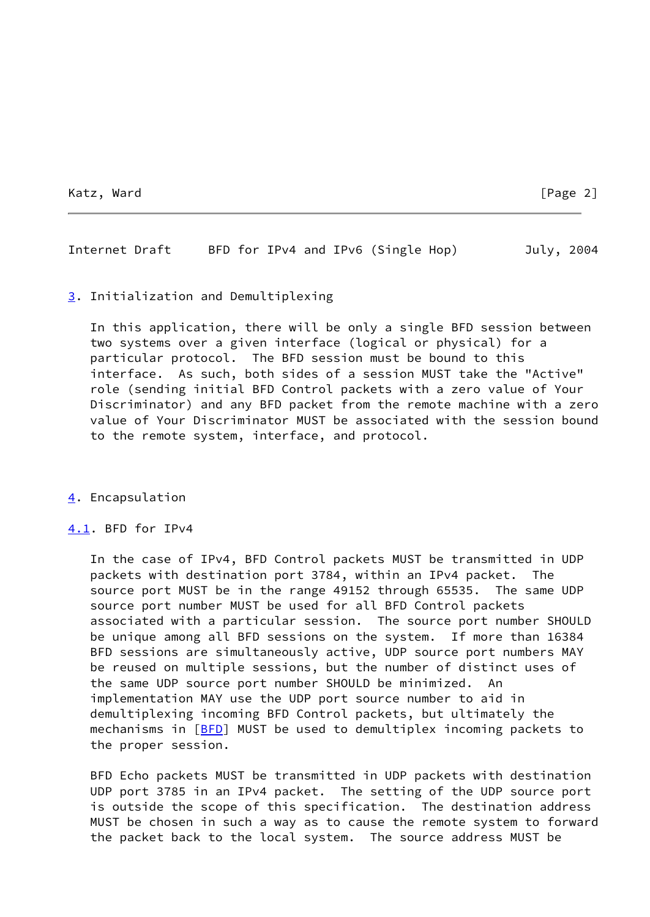Katz, Ward [Page 2]

Internet Draft BFD for IPv4 and IPv6 (Single Hop) July, 2004

### <span id="page-2-0"></span>[3](#page-2-0). Initialization and Demultiplexing

 In this application, there will be only a single BFD session between two systems over a given interface (logical or physical) for a particular protocol. The BFD session must be bound to this interface. As such, both sides of a session MUST take the "Active" role (sending initial BFD Control packets with a zero value of Your Discriminator) and any BFD packet from the remote machine with a zero value of Your Discriminator MUST be associated with the session bound to the remote system, interface, and protocol.

# <span id="page-2-1"></span>[4](#page-2-1). Encapsulation

# <span id="page-2-2"></span>[4.1](#page-2-2). BFD for IPv4

 In the case of IPv4, BFD Control packets MUST be transmitted in UDP packets with destination port 3784, within an IPv4 packet. The source port MUST be in the range 49152 through 65535. The same UDP source port number MUST be used for all BFD Control packets associated with a particular session. The source port number SHOULD be unique among all BFD sessions on the system. If more than 16384 BFD sessions are simultaneously active, UDP source port numbers MAY be reused on multiple sessions, but the number of distinct uses of the same UDP source port number SHOULD be minimized. An implementation MAY use the UDP port source number to aid in demultiplexing incoming BFD Control packets, but ultimately the mechanisms in [[BFD](#page-7-0)] MUST be used to demultiplex incoming packets to the proper session.

 BFD Echo packets MUST be transmitted in UDP packets with destination UDP port 3785 in an IPv4 packet. The setting of the UDP source port is outside the scope of this specification. The destination address MUST be chosen in such a way as to cause the remote system to forward the packet back to the local system. The source address MUST be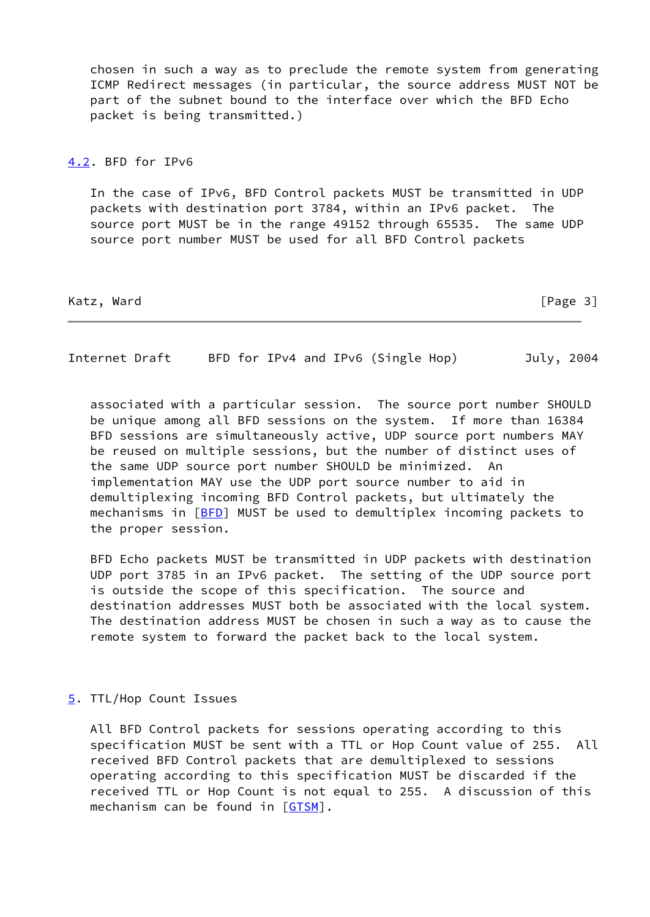chosen in such a way as to preclude the remote system from generating ICMP Redirect messages (in particular, the source address MUST NOT be part of the subnet bound to the interface over which the BFD Echo packet is being transmitted.)

### <span id="page-3-0"></span>[4.2](#page-3-0). BFD for IPv6

 In the case of IPv6, BFD Control packets MUST be transmitted in UDP packets with destination port 3784, within an IPv6 packet. The source port MUST be in the range 49152 through 65535. The same UDP source port number MUST be used for all BFD Control packets

Katz, Ward [Page 3]

Internet Draft BFD for IPv4 and IPv6 (Single Hop) July, 2004

 associated with a particular session. The source port number SHOULD be unique among all BFD sessions on the system. If more than 16384 BFD sessions are simultaneously active, UDP source port numbers MAY be reused on multiple sessions, but the number of distinct uses of the same UDP source port number SHOULD be minimized. An implementation MAY use the UDP port source number to aid in demultiplexing incoming BFD Control packets, but ultimately the mechanisms in [[BFD](#page-7-0)] MUST be used to demultiplex incoming packets to the proper session.

 BFD Echo packets MUST be transmitted in UDP packets with destination UDP port 3785 in an IPv6 packet. The setting of the UDP source port is outside the scope of this specification. The source and destination addresses MUST both be associated with the local system. The destination address MUST be chosen in such a way as to cause the remote system to forward the packet back to the local system.

### <span id="page-3-1"></span>[5](#page-3-1). TTL/Hop Count Issues

 All BFD Control packets for sessions operating according to this specification MUST be sent with a TTL or Hop Count value of 255. All received BFD Control packets that are demultiplexed to sessions operating according to this specification MUST be discarded if the received TTL or Hop Count is not equal to 255. A discussion of this mechanism can be found in [[GTSM\]](#page-7-4).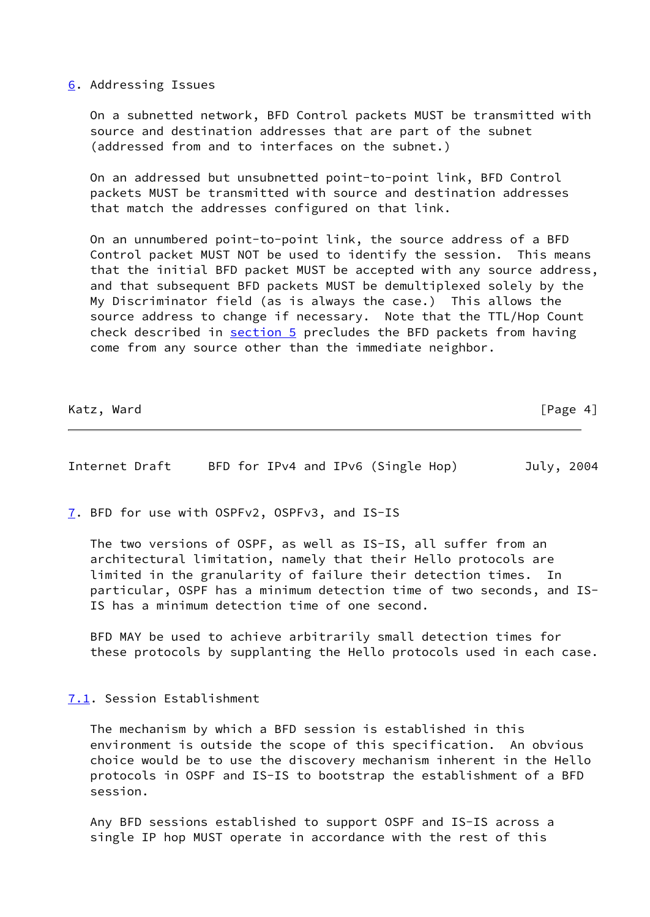### <span id="page-4-0"></span>[6](#page-4-0). Addressing Issues

 On a subnetted network, BFD Control packets MUST be transmitted with source and destination addresses that are part of the subnet (addressed from and to interfaces on the subnet.)

 On an addressed but unsubnetted point-to-point link, BFD Control packets MUST be transmitted with source and destination addresses that match the addresses configured on that link.

 On an unnumbered point-to-point link, the source address of a BFD Control packet MUST NOT be used to identify the session. This means that the initial BFD packet MUST be accepted with any source address, and that subsequent BFD packets MUST be demultiplexed solely by the My Discriminator field (as is always the case.) This allows the source address to change if necessary. Note that the TTL/Hop Count check described in [section 5](#page-3-1) precludes the BFD packets from having come from any source other than the immediate neighbor.

Katz, Ward [Page 4]

Internet Draft BFD for IPv4 and IPv6 (Single Hop) July, 2004

<span id="page-4-1"></span>[7](#page-4-1). BFD for use with OSPFv2, OSPFv3, and IS-IS

 The two versions of OSPF, as well as IS-IS, all suffer from an architectural limitation, namely that their Hello protocols are limited in the granularity of failure their detection times. In particular, OSPF has a minimum detection time of two seconds, and IS- IS has a minimum detection time of one second.

 BFD MAY be used to achieve arbitrarily small detection times for these protocols by supplanting the Hello protocols used in each case.

<span id="page-4-2"></span>[7.1](#page-4-2). Session Establishment

 The mechanism by which a BFD session is established in this environment is outside the scope of this specification. An obvious choice would be to use the discovery mechanism inherent in the Hello protocols in OSPF and IS-IS to bootstrap the establishment of a BFD session.

 Any BFD sessions established to support OSPF and IS-IS across a single IP hop MUST operate in accordance with the rest of this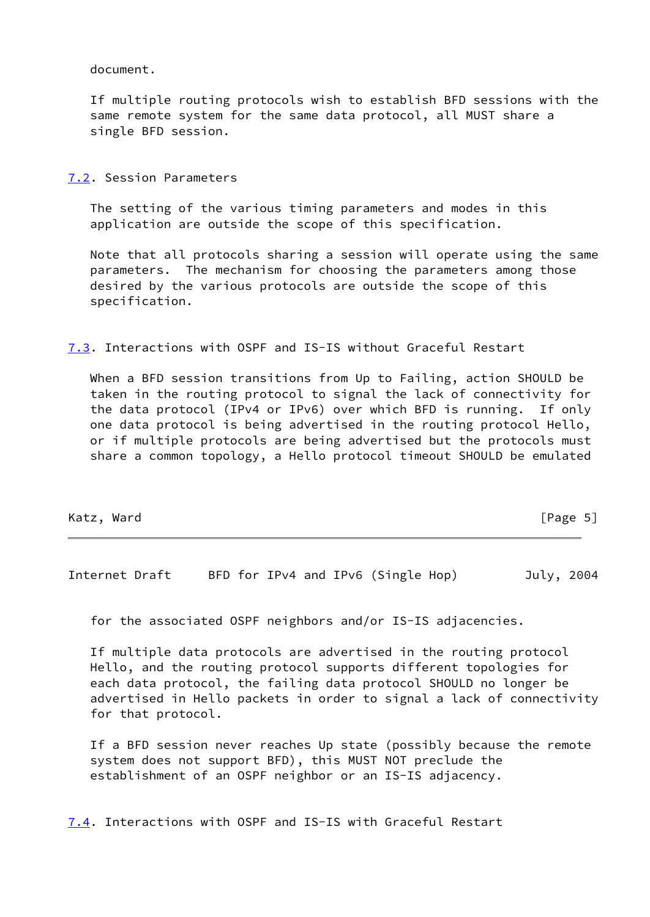document.

 If multiple routing protocols wish to establish BFD sessions with the same remote system for the same data protocol, all MUST share a single BFD session.

<span id="page-5-0"></span>[7.2](#page-5-0). Session Parameters

 The setting of the various timing parameters and modes in this application are outside the scope of this specification.

 Note that all protocols sharing a session will operate using the same parameters. The mechanism for choosing the parameters among those desired by the various protocols are outside the scope of this specification.

<span id="page-5-1"></span>[7.3](#page-5-1). Interactions with OSPF and IS-IS without Graceful Restart

 When a BFD session transitions from Up to Failing, action SHOULD be taken in the routing protocol to signal the lack of connectivity for the data protocol (IPv4 or IPv6) over which BFD is running. If only one data protocol is being advertised in the routing protocol Hello, or if multiple protocols are being advertised but the protocols must share a common topology, a Hello protocol timeout SHOULD be emulated

| [Page $5$ ]<br>Katz, Ward |  |  |  |
|---------------------------|--|--|--|
|---------------------------|--|--|--|

Internet Draft BFD for IPv4 and IPv6 (Single Hop) July, 2004

for the associated OSPF neighbors and/or IS-IS adjacencies.

 If multiple data protocols are advertised in the routing protocol Hello, and the routing protocol supports different topologies for each data protocol, the failing data protocol SHOULD no longer be advertised in Hello packets in order to signal a lack of connectivity for that protocol.

 If a BFD session never reaches Up state (possibly because the remote system does not support BFD), this MUST NOT preclude the establishment of an OSPF neighbor or an IS-IS adjacency.

<span id="page-5-2"></span>[7.4](#page-5-2). Interactions with OSPF and IS-IS with Graceful Restart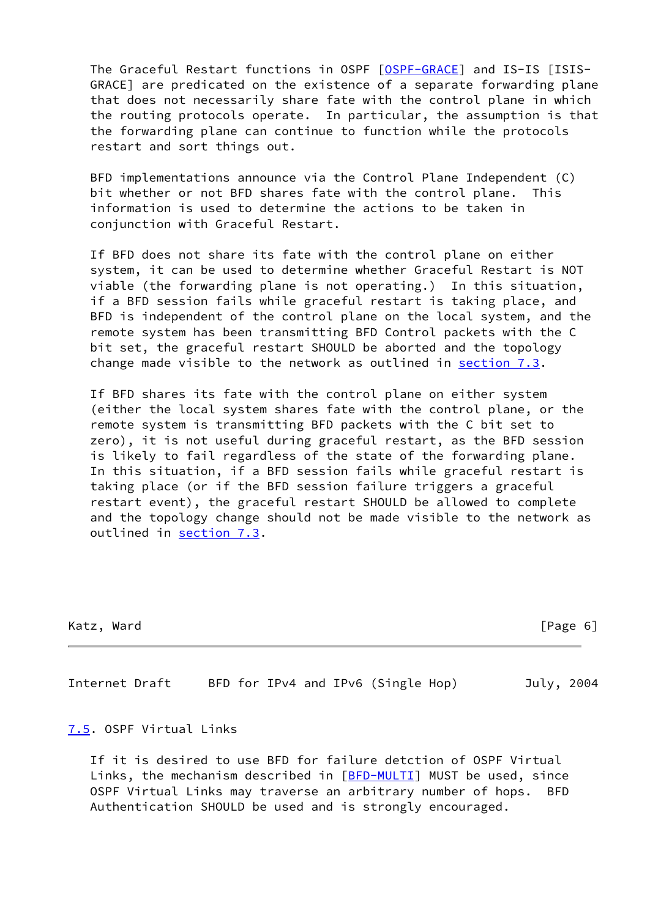The Graceful Restart functions in OSPF [\[OSPF-GRACE](#page-7-5)] and IS-IS [ISIS- GRACE] are predicated on the existence of a separate forwarding plane that does not necessarily share fate with the control plane in which the routing protocols operate. In particular, the assumption is that the forwarding plane can continue to function while the protocols restart and sort things out.

 BFD implementations announce via the Control Plane Independent (C) bit whether or not BFD shares fate with the control plane. This information is used to determine the actions to be taken in conjunction with Graceful Restart.

 If BFD does not share its fate with the control plane on either system, it can be used to determine whether Graceful Restart is NOT viable (the forwarding plane is not operating.) In this situation, if a BFD session fails while graceful restart is taking place, and BFD is independent of the control plane on the local system, and the remote system has been transmitting BFD Control packets with the C bit set, the graceful restart SHOULD be aborted and the topology change made visible to the network as outlined in [section 7.3](#page-5-1).

 If BFD shares its fate with the control plane on either system (either the local system shares fate with the control plane, or the remote system is transmitting BFD packets with the C bit set to zero), it is not useful during graceful restart, as the BFD session is likely to fail regardless of the state of the forwarding plane. In this situation, if a BFD session fails while graceful restart is taking place (or if the BFD session failure triggers a graceful restart event), the graceful restart SHOULD be allowed to complete and the topology change should not be made visible to the network as outlined in [section 7.3.](#page-5-1)

| Katz. | Ward |
|-------|------|
|       |      |

 $[Page 6]$ 

Internet Draft BFD for IPv4 and IPv6 (Single Hop) July, 2004

#### <span id="page-6-0"></span>[7.5](#page-6-0). OSPF Virtual Links

 If it is desired to use BFD for failure detction of OSPF Virtual Links, the mechanism described in  $[BFD-MULTI]$  $[BFD-MULTI]$  MUST be used, since OSPF Virtual Links may traverse an arbitrary number of hops. BFD Authentication SHOULD be used and is strongly encouraged.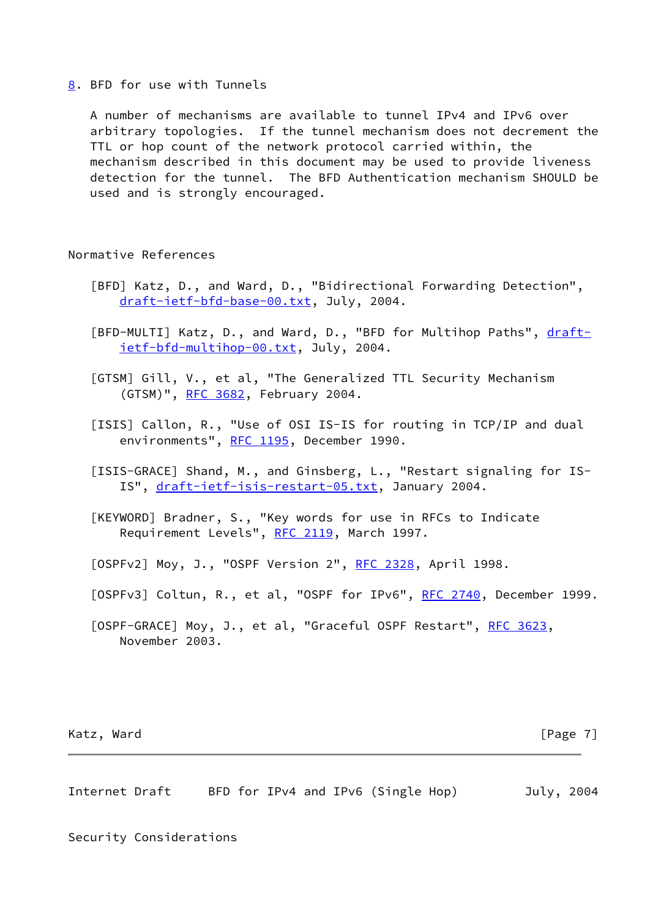<span id="page-7-7"></span>[8](#page-7-7). BFD for use with Tunnels

 A number of mechanisms are available to tunnel IPv4 and IPv6 over arbitrary topologies. If the tunnel mechanism does not decrement the TTL or hop count of the network protocol carried within, the mechanism described in this document may be used to provide liveness detection for the tunnel. The BFD Authentication mechanism SHOULD be used and is strongly encouraged.

### Normative References

- <span id="page-7-0"></span> [BFD] Katz, D., and Ward, D., "Bidirectional Forwarding Detection", [draft-ietf-bfd-base-00.txt,](https://datatracker.ietf.org/doc/pdf/draft-ietf-bfd-base-00.txt) July, 2004.
- <span id="page-7-6"></span> [BFD-MULTI] Katz, D., and Ward, D., "BFD for Multihop Paths", [draft](https://datatracker.ietf.org/doc/pdf/draft-ietf-bfd-multihop-00.txt) [ietf-bfd-multihop-00.txt,](https://datatracker.ietf.org/doc/pdf/draft-ietf-bfd-multihop-00.txt) July, 2004.
- <span id="page-7-4"></span> [GTSM] Gill, V., et al, "The Generalized TTL Security Mechanism (GTSM)", [RFC 3682](https://datatracker.ietf.org/doc/pdf/rfc3682), February 2004.
- <span id="page-7-3"></span> [ISIS] Callon, R., "Use of OSI IS-IS for routing in TCP/IP and dual environments", [RFC 1195,](https://datatracker.ietf.org/doc/pdf/rfc1195) December 1990.
- [ISIS-GRACE] Shand, M., and Ginsberg, L., "Restart signaling for IS- IS", [draft-ietf-isis-restart-05.txt](https://datatracker.ietf.org/doc/pdf/draft-ietf-isis-restart-05.txt), January 2004.
- [KEYWORD] Bradner, S., "Key words for use in RFCs to Indicate Requirement Levels", [RFC 2119](https://datatracker.ietf.org/doc/pdf/rfc2119), March 1997.
- <span id="page-7-1"></span>[OSPFv2] Moy, J., "OSPF Version 2", [RFC 2328,](https://datatracker.ietf.org/doc/pdf/rfc2328) April 1998.
- <span id="page-7-2"></span>[OSPFv3] Coltun, R., et al, "OSPF for IPv6", [RFC 2740](https://datatracker.ietf.org/doc/pdf/rfc2740), December 1999.
- <span id="page-7-5"></span>[OSPF-GRACE] Moy, J., et al, "Graceful OSPF Restart", [RFC 3623](https://datatracker.ietf.org/doc/pdf/rfc3623), November 2003.

Katz, Ward [Page 7]

Internet Draft BFD for IPv4 and IPv6 (Single Hop) July, 2004

#### Security Considerations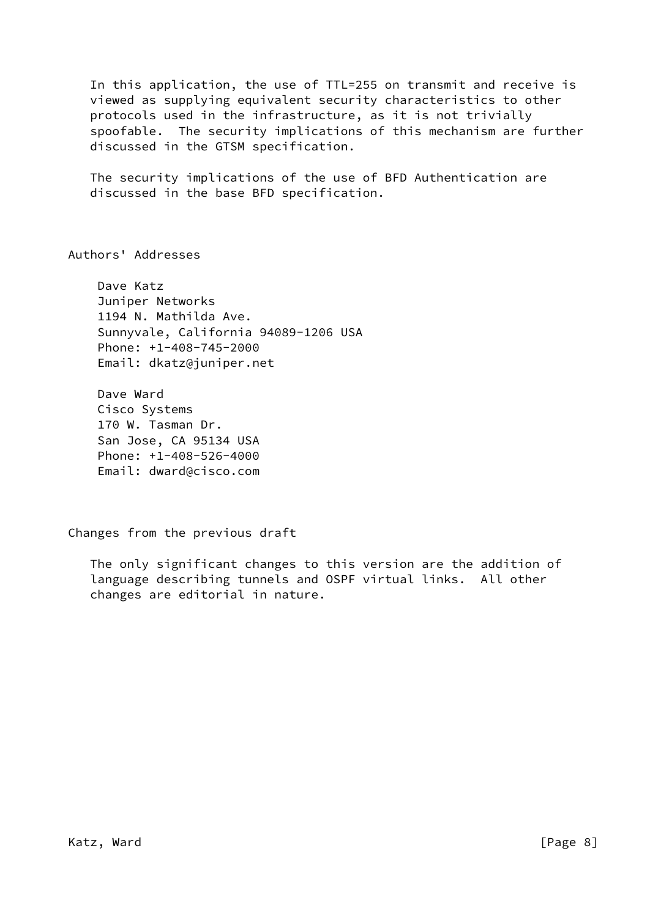In this application, the use of TTL=255 on transmit and receive is viewed as supplying equivalent security characteristics to other protocols used in the infrastructure, as it is not trivially spoofable. The security implications of this mechanism are further discussed in the GTSM specification.

 The security implications of the use of BFD Authentication are discussed in the base BFD specification.

Authors' Addresses

 Dave Katz Juniper Networks 1194 N. Mathilda Ave. Sunnyvale, California 94089-1206 USA Phone: +1-408-745-2000 Email: dkatz@juniper.net

 Dave Ward Cisco Systems 170 W. Tasman Dr. San Jose, CA 95134 USA Phone: +1-408-526-4000 Email: dward@cisco.com

Changes from the previous draft

 The only significant changes to this version are the addition of language describing tunnels and OSPF virtual links. All other changes are editorial in nature.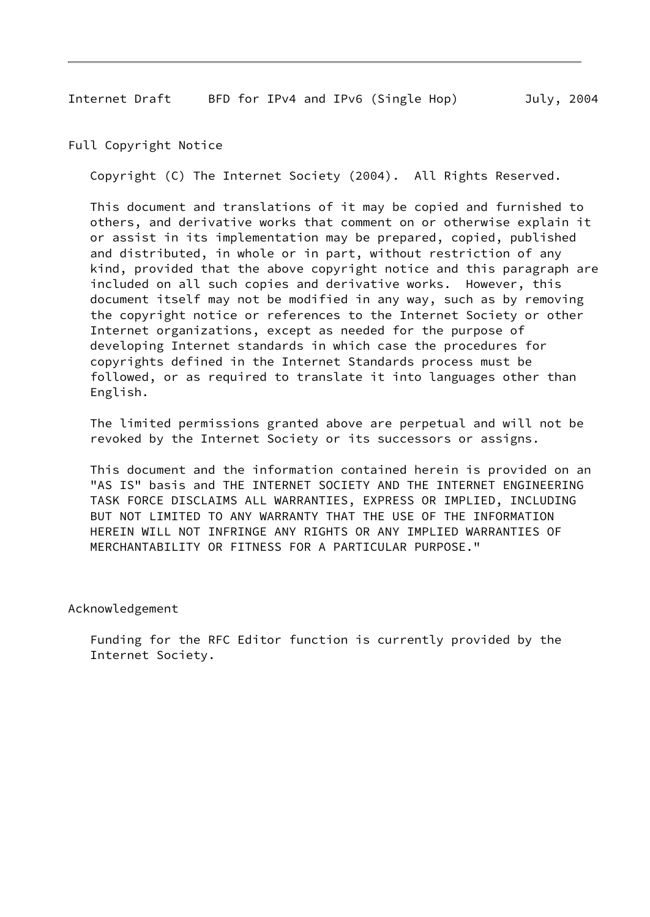Internet Draft BFD for IPv4 and IPv6 (Single Hop) July, 2004

Full Copyright Notice

Copyright (C) The Internet Society (2004). All Rights Reserved.

 This document and translations of it may be copied and furnished to others, and derivative works that comment on or otherwise explain it or assist in its implementation may be prepared, copied, published and distributed, in whole or in part, without restriction of any kind, provided that the above copyright notice and this paragraph are included on all such copies and derivative works. However, this document itself may not be modified in any way, such as by removing the copyright notice or references to the Internet Society or other Internet organizations, except as needed for the purpose of developing Internet standards in which case the procedures for copyrights defined in the Internet Standards process must be followed, or as required to translate it into languages other than English.

 The limited permissions granted above are perpetual and will not be revoked by the Internet Society or its successors or assigns.

 This document and the information contained herein is provided on an "AS IS" basis and THE INTERNET SOCIETY AND THE INTERNET ENGINEERING TASK FORCE DISCLAIMS ALL WARRANTIES, EXPRESS OR IMPLIED, INCLUDING BUT NOT LIMITED TO ANY WARRANTY THAT THE USE OF THE INFORMATION HEREIN WILL NOT INFRINGE ANY RIGHTS OR ANY IMPLIED WARRANTIES OF MERCHANTABILITY OR FITNESS FOR A PARTICULAR PURPOSE."

Acknowledgement

 Funding for the RFC Editor function is currently provided by the Internet Society.